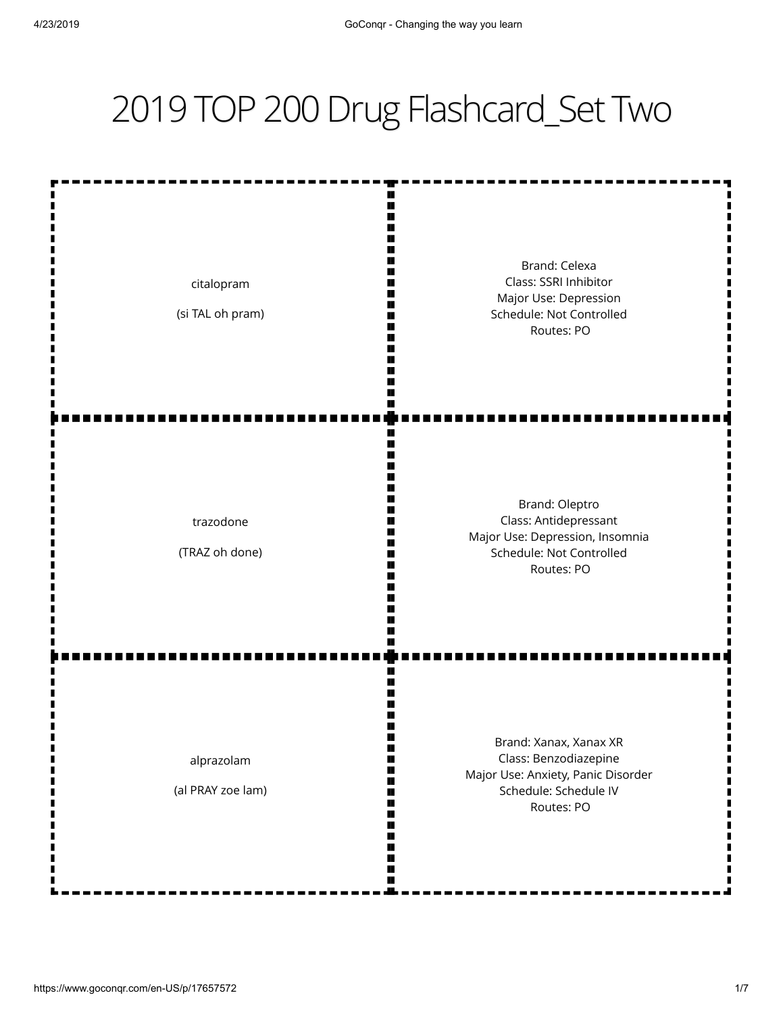## 2019 TOP 200 Drug Flashcard\_Set Two

| citalopram<br>(si TAL oh pram)  | Brand: Celexa<br>Class: SSRI Inhibitor<br>Major Use: Depression<br>Schedule: Not Controlled<br>Routes: PO                    |
|---------------------------------|------------------------------------------------------------------------------------------------------------------------------|
| trazodone<br>(TRAZ oh done)     | Brand: Oleptro<br>Class: Antidepressant<br>Major Use: Depression, Insomnia<br>Schedule: Not Controlled<br>Routes: PO         |
| alprazolam<br>(al PRAY zoe lam) | Brand: Xanax, Xanax XR<br>Class: Benzodiazepine<br>Major Use: Anxiety, Panic Disorder<br>Schedule: Schedule IV<br>Routes: PO |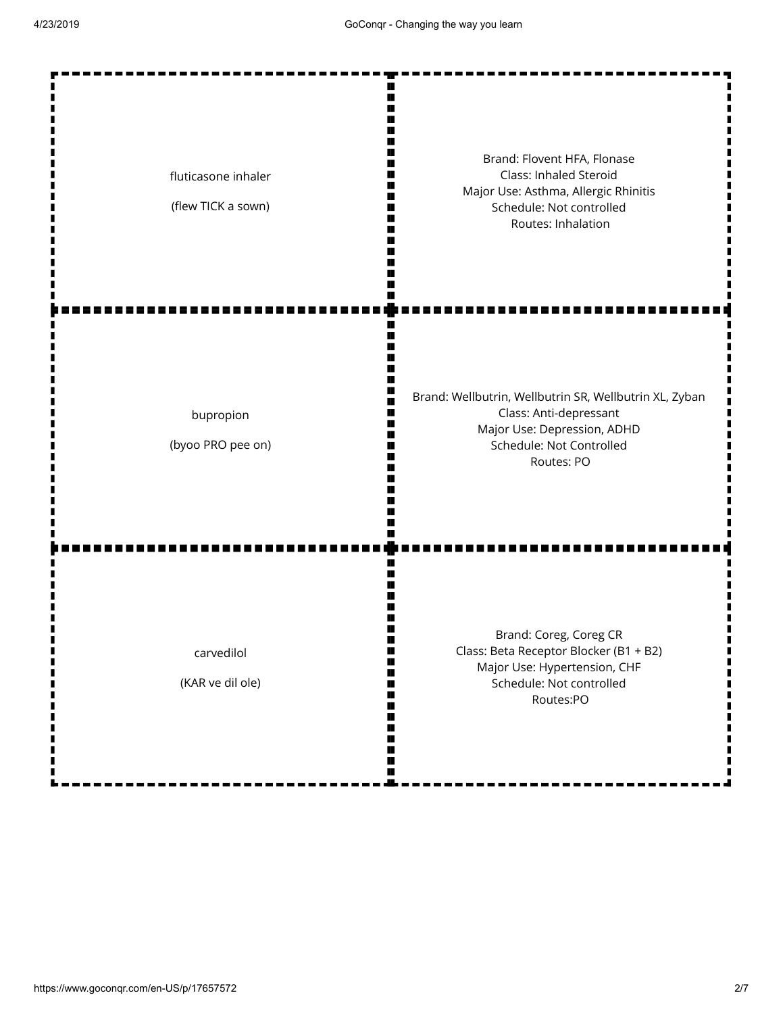| fluticasone inhaler<br>(flew TICK a sown) | Brand: Flovent HFA, Flonase<br>Class: Inhaled Steroid<br>Major Use: Asthma, Allergic Rhinitis<br>Schedule: Not controlled<br>Routes: Inhalation           |
|-------------------------------------------|-----------------------------------------------------------------------------------------------------------------------------------------------------------|
| bupropion<br>(byoo PRO pee on)            | Brand: Wellbutrin, Wellbutrin SR, Wellbutrin XL, Zyban<br>Class: Anti-depressant<br>Major Use: Depression, ADHD<br>Schedule: Not Controlled<br>Routes: PO |
| carvedilol<br>(KAR ve dil ole)            | Brand: Coreg, Coreg CR<br>Class: Beta Receptor Blocker (B1 + B2)<br>Major Use: Hypertension, CHF<br>Schedule: Not controlled<br>Routes:PO                 |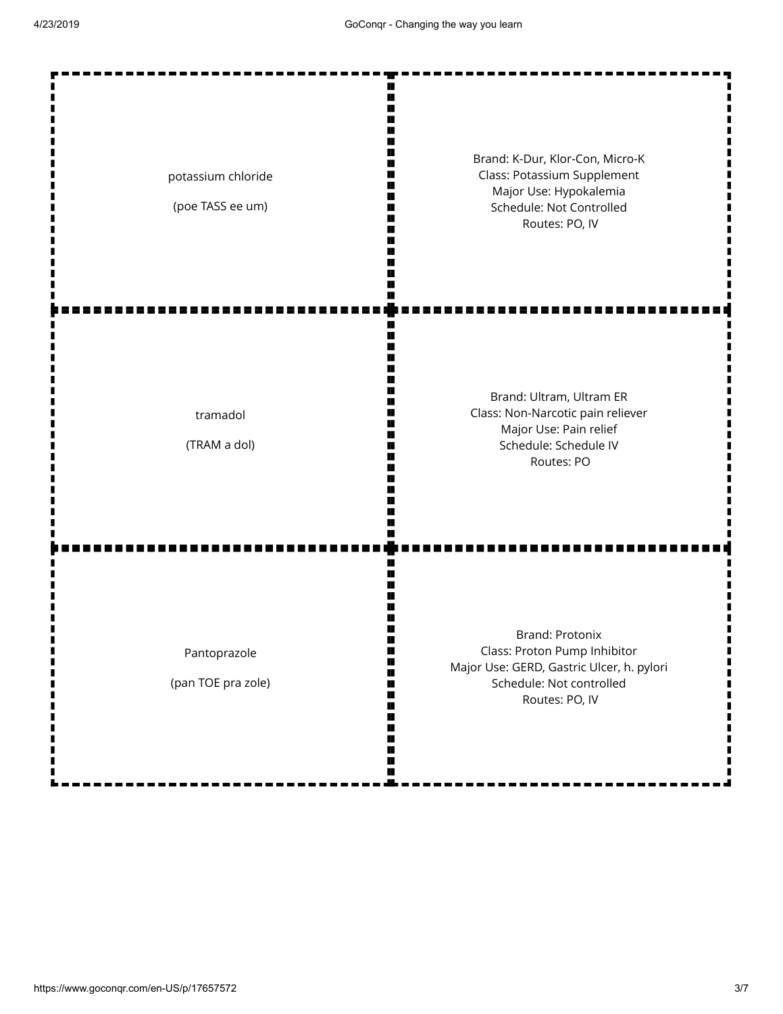| potassium chloride<br>(poe TASS ee um) | Brand: K-Dur, Klor-Con, Micro-K<br>Class: Potassium Supplement<br>Major Use: Hypokalemia<br>Schedule: Not Controlled<br>Routes: PO, IV     |
|----------------------------------------|--------------------------------------------------------------------------------------------------------------------------------------------|
| tramadol<br>(TRAM a dol)               | Brand: Ultram, Ultram ER<br>Class: Non-Narcotic pain reliever<br>Major Use: Pain relief<br>Schedule: Schedule IV<br>Routes: PO             |
| Pantoprazole<br>(pan TOE pra zole)     | Brand: Protonix<br>Class: Proton Pump Inhibitor<br>Major Use: GERD, Gastric Ulcer, h. pylori<br>Schedule: Not controlled<br>Routes: PO, IV |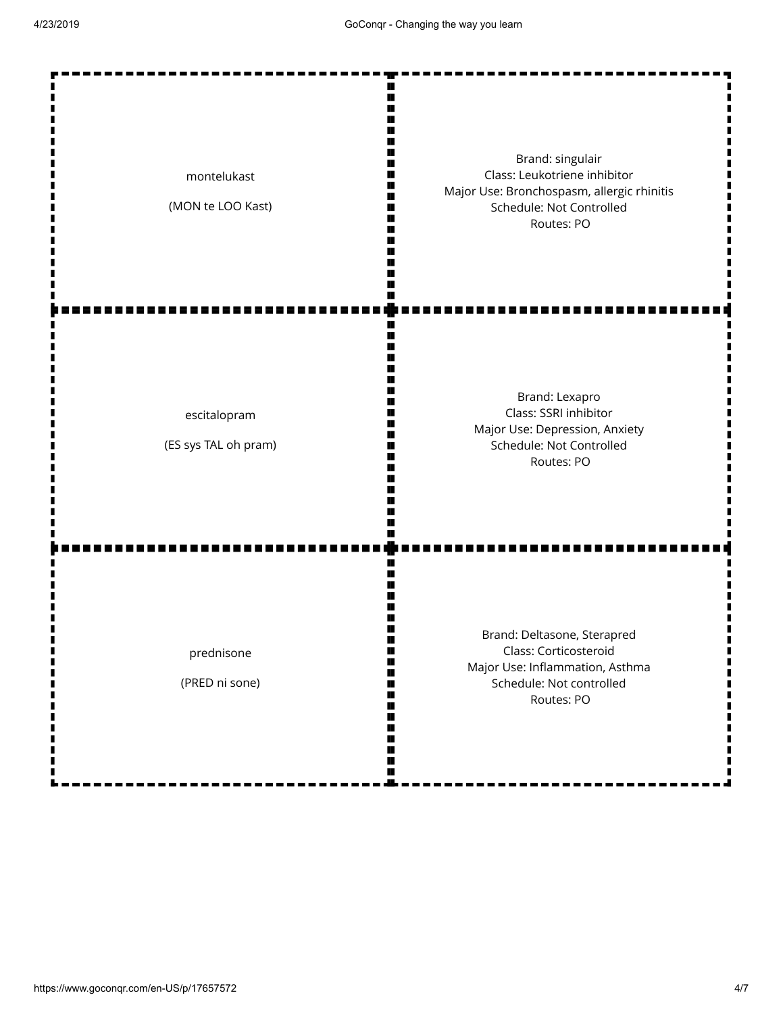| montelukast<br>(MON te LOO Kast)     | Brand: singulair<br>Class: Leukotriene inhibitor<br>Major Use: Bronchospasm, allergic rhinitis<br>Schedule: Not Controlled<br>Routes: PO |
|--------------------------------------|------------------------------------------------------------------------------------------------------------------------------------------|
| escitalopram<br>(ES sys TAL oh pram) | Brand: Lexapro<br>Class: SSRI inhibitor<br>Major Use: Depression, Anxiety<br>Schedule: Not Controlled<br>Routes: PO                      |
| prednisone<br>(PRED ni sone)         | Brand: Deltasone, Sterapred<br>Class: Corticosteroid<br>Major Use: Inflammation, Asthma<br>Schedule: Not controlled<br>Routes: PO        |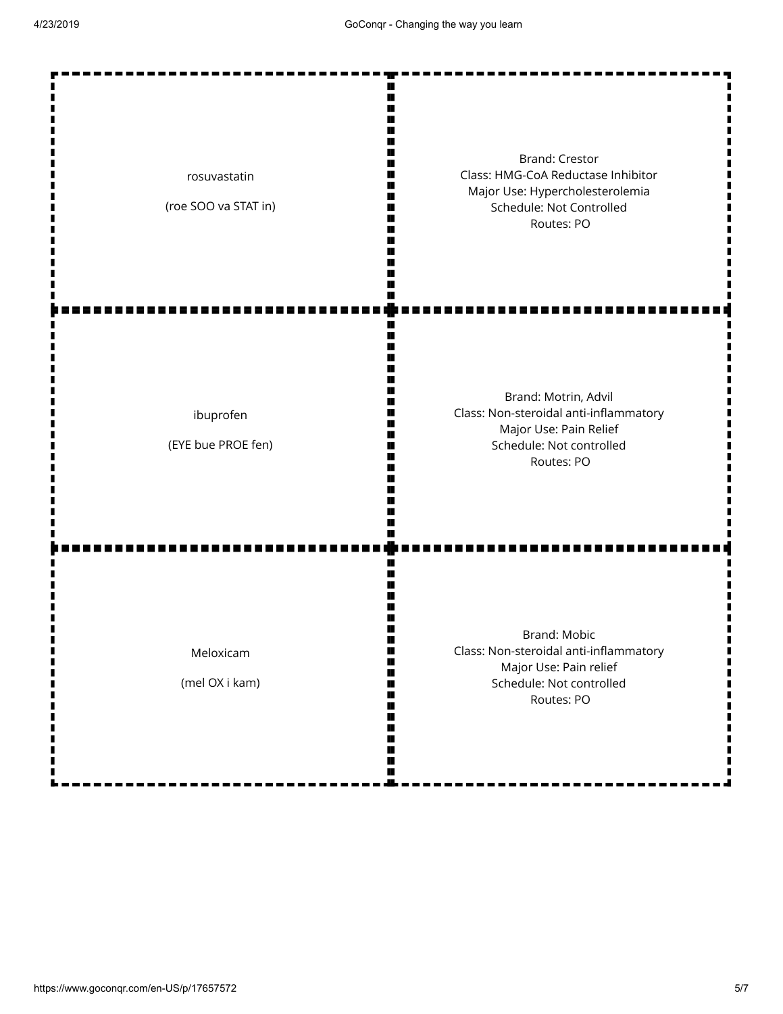| rosuvastatin<br>(roe SOO va STAT in) | <b>Brand: Crestor</b><br>Class: HMG-CoA Reductase Inhibitor<br>Major Use: Hypercholesterolemia<br>Schedule: Not Controlled<br>Routes: PO |
|--------------------------------------|------------------------------------------------------------------------------------------------------------------------------------------|
| ibuprofen<br>(EYE bue PROE fen)      | Brand: Motrin, Advil<br>Class: Non-steroidal anti-inflammatory<br>Major Use: Pain Relief<br>Schedule: Not controlled<br>Routes: PO       |
| Meloxicam<br>(mel OX i kam)          | Brand: Mobic<br>Class: Non-steroidal anti-inflammatory<br>Major Use: Pain relief<br>Schedule: Not controlled<br>Routes: PO               |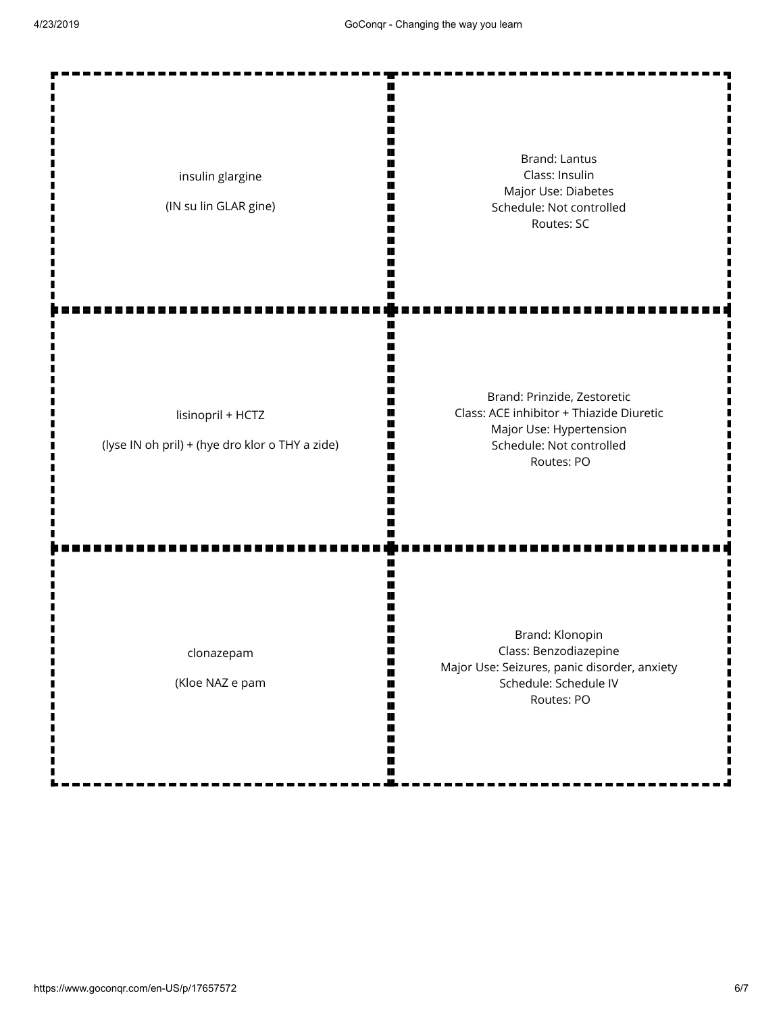